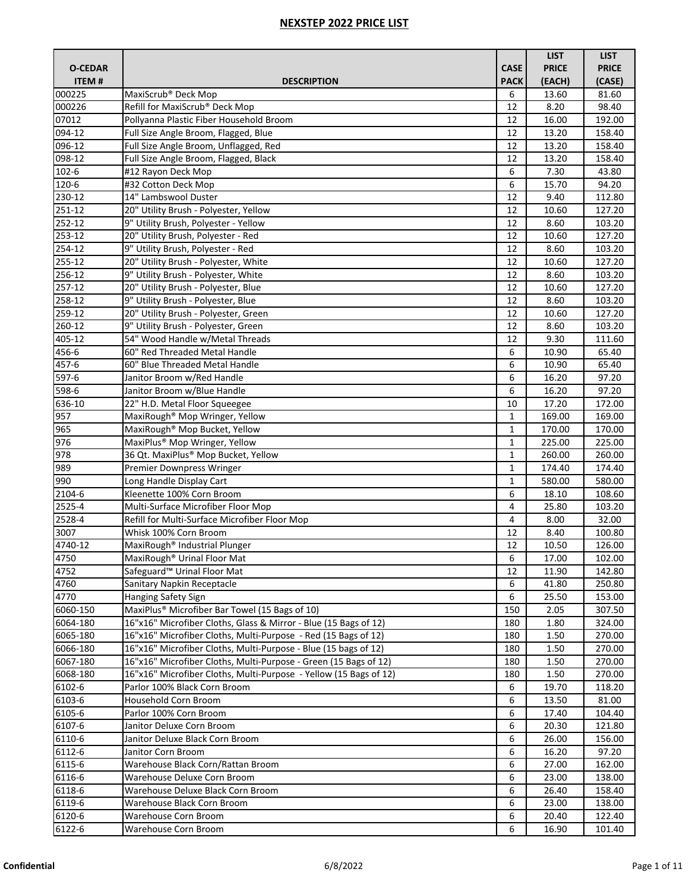|                |                                                                   |              | <b>LIST</b>  | <b>LIST</b>  |
|----------------|-------------------------------------------------------------------|--------------|--------------|--------------|
| <b>O-CEDAR</b> |                                                                   | <b>CASE</b>  | <b>PRICE</b> | <b>PRICE</b> |
| <b>ITEM#</b>   | <b>DESCRIPTION</b>                                                | <b>PACK</b>  | (EACH)       | (CASE)       |
| 000225         | MaxiScrub <sup>®</sup> Deck Mop                                   | 6            | 13.60        | 81.60        |
| 000226         | Refill for MaxiScrub® Deck Mop                                    | 12           | 8.20         | 98.40        |
| 07012          | Pollyanna Plastic Fiber Household Broom                           | 12           | 16.00        | 192.00       |
| 094-12         | Full Size Angle Broom, Flagged, Blue                              | 12           | 13.20        | 158.40       |
| 096-12         | Full Size Angle Broom, Unflagged, Red                             | 12           | 13.20        | 158.40       |
| 098-12         | Full Size Angle Broom, Flagged, Black                             | 12           | 13.20        | 158.40       |
| $102 - 6$      | #12 Rayon Deck Mop                                                | 6            | 7.30         | 43.80        |
| 120-6          | #32 Cotton Deck Mop                                               | 6            | 15.70        | 94.20        |
| 230-12         | 14" Lambswool Duster                                              | 12           | 9.40         | 112.80       |
| 251-12         | 20" Utility Brush - Polyester, Yellow                             | 12           | 10.60        | 127.20       |
| 252-12         | 9" Utility Brush, Polyester - Yellow                              | 12           | 8.60         | 103.20       |
| 253-12         | 20" Utility Brush, Polyester - Red                                | 12           | 10.60        | 127.20       |
| 254-12         | 9" Utility Brush, Polyester - Red                                 | 12           | 8.60         | 103.20       |
| $255 - 12$     | 20" Utility Brush - Polyester, White                              | 12           | 10.60        | 127.20       |
| 256-12         | 9" Utility Brush - Polyester, White                               | 12           | 8.60         | 103.20       |
| 257-12         | 20" Utility Brush - Polyester, Blue                               | 12           | 10.60        | 127.20       |
| 258-12         | 9" Utility Brush - Polyester, Blue                                | 12           | 8.60         | 103.20       |
| 259-12         | 20" Utility Brush - Polyester, Green                              | 12           | 10.60        | 127.20       |
| 260-12         | 9" Utility Brush - Polyester, Green                               | 12           | 8.60         | 103.20       |
| 405-12         | 54" Wood Handle w/Metal Threads                                   | 12           | 9.30         | 111.60       |
| 456-6          | 60" Red Threaded Metal Handle                                     | 6            | 10.90        | 65.40        |
| 457-6          | 60" Blue Threaded Metal Handle                                    | 6            | 10.90        | 65.40        |
| 597-6          | Janitor Broom w/Red Handle                                        | 6            | 16.20        | 97.20        |
| 598-6          | Janitor Broom w/Blue Handle                                       | 6            | 16.20        | 97.20        |
| 636-10         | 22" H.D. Metal Floor Squeegee                                     | 10           | 17.20        | 172.00       |
| 957            | MaxiRough <sup>®</sup> Mop Wringer, Yellow                        | $\mathbf{1}$ | 169.00       | 169.00       |
| 965            | MaxiRough <sup>®</sup> Mop Bucket, Yellow                         | 1            | 170.00       | 170.00       |
| 976            | MaxiPlus <sup>®</sup> Mop Wringer, Yellow                         | $\mathbf{1}$ | 225.00       | 225.00       |
| 978            | 36 Qt. MaxiPlus® Mop Bucket, Yellow                               | 1            | 260.00       | 260.00       |
| 989            | Premier Downpress Wringer                                         | 1            | 174.40       | 174.40       |
| 990            | Long Handle Display Cart                                          | $\mathbf{1}$ | 580.00       | 580.00       |
| 2104-6         | Kleenette 100% Corn Broom                                         | 6            | 18.10        | 108.60       |
| 2525-4         | Multi-Surface Microfiber Floor Mop                                | 4            | 25.80        | 103.20       |
| 2528-4         | Refill for Multi-Surface Microfiber Floor Mop                     | 4            | 8.00         | 32.00        |
| 3007           | Whisk 100% Corn Broom                                             | 12           | 8.40         | 100.80       |
| 4740-12        | MaxiRough <sup>®</sup> Industrial Plunger                         | 12           | 10.50        | 126.00       |
| 4750           | MaxiRough <sup>®</sup> Urinal Floor Mat                           | 6            | 17.00        | 102.00       |
| 4752           | Safeguard <sup>™</sup> Urinal Floor Mat                           | 12           | 11.90        | 142.80       |
| 4760           | Sanitary Napkin Receptacle                                        | 6            | 41.80        | 250.80       |
| 4770           | Hanging Safety Sign                                               | 6            | 25.50        | 153.00       |
| 6060-150       | MaxiPlus <sup>®</sup> Microfiber Bar Towel (15 Bags of 10)        | 150          | 2.05         | 307.50       |
| 6064-180       | 16"x16" Microfiber Cloths, Glass & Mirror - Blue (15 Bags of 12)  | 180          | 1.80         | 324.00       |
| 6065-180       | 16"x16" Microfiber Cloths, Multi-Purpose - Red (15 Bags of 12)    | 180          | 1.50         | 270.00       |
| 6066-180       | 16"x16" Microfiber Cloths, Multi-Purpose - Blue (15 bags of 12)   | 180          | 1.50         | 270.00       |
| 6067-180       | 16"x16" Microfiber Cloths, Multi-Purpose - Green (15 Bags of 12)  | 180          | 1.50         | 270.00       |
| 6068-180       | 16"x16" Microfiber Cloths, Multi-Purpose - Yellow (15 Bags of 12) | 180          | 1.50         | 270.00       |
| 6102-6         | Parlor 100% Black Corn Broom                                      | 6            | 19.70        | 118.20       |
| 6103-6         | Household Corn Broom                                              | 6            | 13.50        | 81.00        |
| 6105-6         | Parlor 100% Corn Broom                                            | 6            | 17.40        | 104.40       |
| 6107-6         | Janitor Deluxe Corn Broom                                         | 6            | 20.30        | 121.80       |
| 6110-6         | Janitor Deluxe Black Corn Broom                                   | 6            | 26.00        | 156.00       |
| 6112-6         | Janitor Corn Broom                                                | 6            | 16.20        | 97.20        |
| 6115-6         | Warehouse Black Corn/Rattan Broom                                 | 6            | 27.00        | 162.00       |
| 6116-6         | Warehouse Deluxe Corn Broom                                       | 6            | 23.00        | 138.00       |
| 6118-6         | Warehouse Deluxe Black Corn Broom                                 | 6            | 26.40        | 158.40       |
| 6119-6         | Warehouse Black Corn Broom                                        | 6            | 23.00        | 138.00       |
| 6120-6         | Warehouse Corn Broom                                              | 6            | 20.40        | 122.40       |
| 6122-6         | Warehouse Corn Broom                                              | 6            | 16.90        | 101.40       |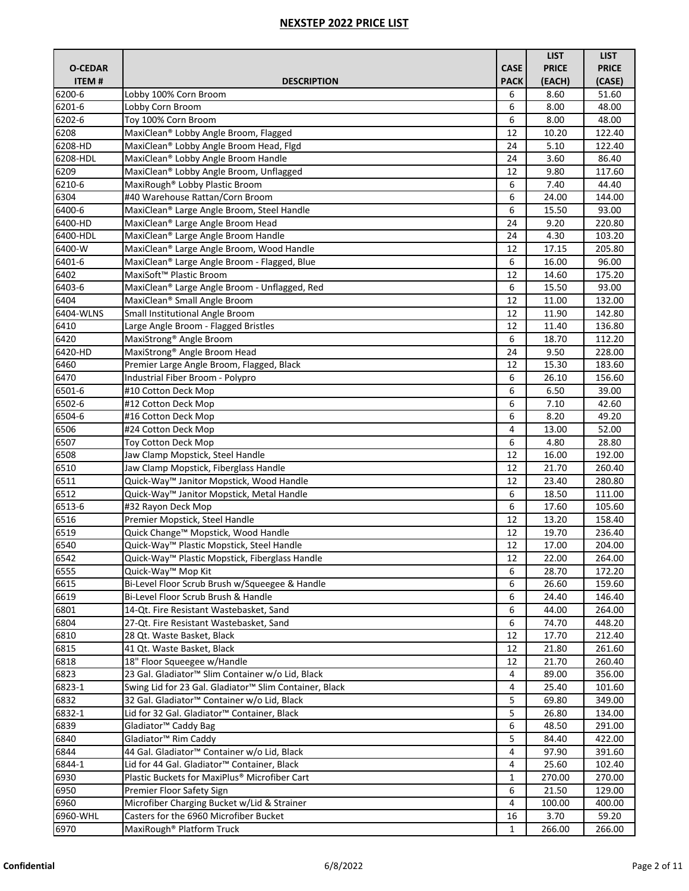|                                |                                                                                   |                            | <b>LIST</b>            | <b>LIST</b>            |
|--------------------------------|-----------------------------------------------------------------------------------|----------------------------|------------------------|------------------------|
| <b>O-CEDAR</b><br><b>ITEM#</b> | <b>DESCRIPTION</b>                                                                | <b>CASE</b><br><b>PACK</b> | <b>PRICE</b><br>(EACH) | <b>PRICE</b><br>(CASE) |
| 6200-6                         | Lobby 100% Corn Broom                                                             | 6                          | 8.60                   | 51.60                  |
| 6201-6                         | Lobby Corn Broom                                                                  | 6                          | 8.00                   | 48.00                  |
| $6202 - 6$                     | Toy 100% Corn Broom                                                               | 6                          | 8.00                   | 48.00                  |
| 6208                           | MaxiClean® Lobby Angle Broom, Flagged                                             | 12                         | 10.20                  | 122.40                 |
| 6208-HD                        | MaxiClean® Lobby Angle Broom Head, Flgd                                           | 24                         | 5.10                   | 122.40                 |
| 6208-HDL                       | MaxiClean® Lobby Angle Broom Handle                                               | 24                         | 3.60                   | 86.40                  |
| 6209                           | MaxiClean® Lobby Angle Broom, Unflagged                                           | 12                         | 9.80                   | 117.60                 |
| 6210-6                         | MaxiRough <sup>®</sup> Lobby Plastic Broom                                        | 6                          | 7.40                   | 44.40                  |
| 6304                           | #40 Warehouse Rattan/Corn Broom                                                   | 6                          | 24.00                  | 144.00                 |
| 6400-6                         | MaxiClean® Large Angle Broom, Steel Handle                                        | 6                          | 15.50                  | 93.00                  |
| 6400-HD                        | MaxiClean® Large Angle Broom Head                                                 | 24                         | 9.20                   | 220.80                 |
| 6400-HDL                       | MaxiClean® Large Angle Broom Handle                                               | 24                         | 4.30                   | 103.20                 |
| 6400-W                         | MaxiClean® Large Angle Broom, Wood Handle                                         | 12                         | 17.15                  | 205.80                 |
| $6401 - 6$                     | MaxiClean® Large Angle Broom - Flagged, Blue                                      | 6                          | 16.00                  | 96.00                  |
| 6402                           | MaxiSoft <sup>™</sup> Plastic Broom                                               | 12                         | 14.60                  | 175.20                 |
| 6403-6                         | MaxiClean® Large Angle Broom - Unflagged, Red                                     | 6                          | 15.50                  | 93.00                  |
| 6404                           | MaxiClean <sup>®</sup> Small Angle Broom                                          | 12                         | 11.00                  | 132.00                 |
| 6404-WLNS                      | Small Institutional Angle Broom                                                   | 12                         | 11.90                  | 142.80                 |
| 6410                           | Large Angle Broom - Flagged Bristles                                              | 12                         | 11.40                  | 136.80                 |
| 6420                           | MaxiStrong <sup>®</sup> Angle Broom                                               | 6                          | 18.70                  | 112.20                 |
| 6420-HD                        | MaxiStrong® Angle Broom Head                                                      | 24                         | 9.50                   | 228.00                 |
| 6460                           | Premier Large Angle Broom, Flagged, Black                                         | 12                         | 15.30                  | 183.60                 |
| 6470                           | Industrial Fiber Broom - Polypro                                                  | 6                          | 26.10                  | 156.60                 |
| $6501 - 6$                     | #10 Cotton Deck Mop                                                               | 6                          | 6.50                   | 39.00                  |
| 6502-6                         | #12 Cotton Deck Mop                                                               | 6                          | 7.10                   | 42.60                  |
| 6504-6                         | #16 Cotton Deck Mop                                                               | 6                          | 8.20                   | 49.20                  |
| 6506                           | #24 Cotton Deck Mop                                                               | 4                          | 13.00                  | 52.00                  |
| 6507                           | Toy Cotton Deck Mop                                                               | 6                          | 4.80                   | 28.80                  |
| 6508<br>6510                   | Jaw Clamp Mopstick, Steel Handle                                                  | 12                         | 16.00                  | 192.00<br>260.40       |
| 6511                           | Jaw Clamp Mopstick, Fiberglass Handle<br>Quick-Way™ Janitor Mopstick, Wood Handle | 12<br>12                   | 21.70                  |                        |
| 6512                           | Quick-Way™ Janitor Mopstick, Metal Handle                                         | 6                          | 23.40<br>18.50         | 280.80<br>111.00       |
| 6513-6                         | #32 Rayon Deck Mop                                                                | 6                          | 17.60                  | 105.60                 |
| 6516                           | Premier Mopstick, Steel Handle                                                    | 12                         | 13.20                  | 158.40                 |
| 6519                           | Quick Change™ Mopstick, Wood Handle                                               | 12                         | 19.70                  | 236.40                 |
| 6540                           | Quick-Way™ Plastic Mopstick, Steel Handle                                         | 12                         | 17.00                  | 204.00                 |
| 6542                           | Quick-Way™ Plastic Mopstick, Fiberglass Handle                                    | 12                         | 22.00                  | 264.00                 |
| 6555                           | Quick-Way™ Mop Kit                                                                | 6                          | 28.70                  | 172.20                 |
| 6615                           | Bi-Level Floor Scrub Brush w/Squeegee & Handle                                    | 6                          | 26.60                  | 159.60                 |
| 6619                           | Bi-Level Floor Scrub Brush & Handle                                               | 6                          | 24.40                  | 146.40                 |
| 6801                           | 14-Qt. Fire Resistant Wastebasket, Sand                                           | 6                          | 44.00                  | 264.00                 |
| 6804                           | 27-Qt. Fire Resistant Wastebasket, Sand                                           | 6                          | 74.70                  | 448.20                 |
| 6810                           | 28 Qt. Waste Basket, Black                                                        | 12                         | 17.70                  | 212.40                 |
| 6815                           | 41 Qt. Waste Basket, Black                                                        | 12                         | 21.80                  | 261.60                 |
| 6818                           | 18" Floor Squeegee w/Handle                                                       | 12                         | 21.70                  | 260.40                 |
| 6823                           | 23 Gal. Gladiator <sup>™</sup> Slim Container w/o Lid, Black                      | 4                          | 89.00                  | 356.00                 |
| $6823 - 1$                     | Swing Lid for 23 Gal. Gladiator <sup>™</sup> Slim Container, Black                | 4                          | 25.40                  | 101.60                 |
| 6832                           | 32 Gal. Gladiator™ Container w/o Lid, Black                                       | 5                          | 69.80                  | 349.00                 |
| 6832-1                         | Lid for 32 Gal. Gladiator™ Container, Black                                       | 5                          | 26.80                  | 134.00                 |
| 6839                           | Gladiator <sup>™</sup> Caddy Bag                                                  | 6                          | 48.50                  | 291.00                 |
| 6840                           | Gladiator <sup>™</sup> Rim Caddy                                                  | 5                          | 84.40                  | 422.00                 |
| 6844                           | 44 Gal. Gladiator™ Container w/o Lid, Black                                       | 4                          | 97.90                  | 391.60                 |
| 6844-1                         | Lid for 44 Gal. Gladiator™ Container, Black                                       | 4                          | 25.60                  | 102.40                 |
| 6930                           | Plastic Buckets for MaxiPlus® Microfiber Cart                                     | 1                          | 270.00                 | 270.00                 |
| 6950                           | Premier Floor Safety Sign                                                         | 6                          | 21.50                  | 129.00                 |
| 6960                           | Microfiber Charging Bucket w/Lid & Strainer                                       | 4                          | 100.00                 | 400.00                 |
| 6960-WHL                       | Casters for the 6960 Microfiber Bucket                                            | 16                         | 3.70                   | 59.20                  |
| 6970                           | MaxiRough <sup>®</sup> Platform Truck                                             | 1                          | 266.00                 | 266.00                 |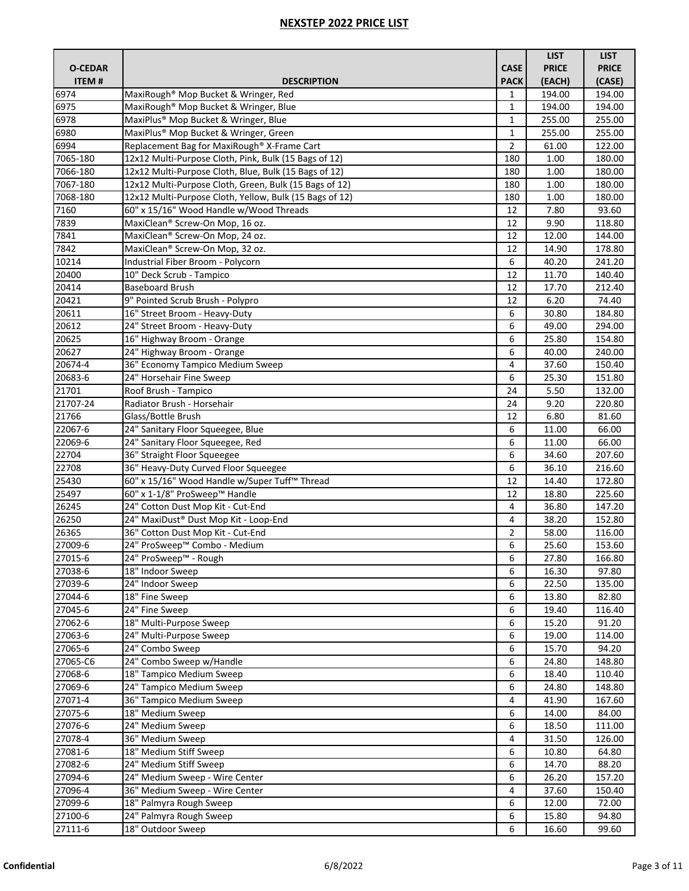|                    |                                                                       |              | <b>LIST</b>    | <b>LIST</b>     |
|--------------------|-----------------------------------------------------------------------|--------------|----------------|-----------------|
| <b>O-CEDAR</b>     |                                                                       | <b>CASE</b>  | <b>PRICE</b>   | <b>PRICE</b>    |
| <b>ITEM#</b>       | <b>DESCRIPTION</b>                                                    | <b>PACK</b>  | (EACH)         | (CASE)          |
| 6974               | MaxiRough® Mop Bucket & Wringer, Red                                  | 1            | 194.00         | 194.00          |
| 6975               | MaxiRough <sup>®</sup> Mop Bucket & Wringer, Blue                     | $\mathbf{1}$ | 194.00         | 194.00          |
| 6978               | MaxiPlus® Mop Bucket & Wringer, Blue                                  | $\mathbf{1}$ | 255.00         | 255.00          |
| 6980               | MaxiPlus® Mop Bucket & Wringer, Green                                 | 1            | 255.00         | 255.00          |
| 6994               | Replacement Bag for MaxiRough® X-Frame Cart                           | 2            | 61.00          | 122.00          |
| 7065-180           | 12x12 Multi-Purpose Cloth, Pink, Bulk (15 Bags of 12)                 | 180          | 1.00           | 180.00          |
| 7066-180           | 12x12 Multi-Purpose Cloth, Blue, Bulk (15 Bags of 12)                 | 180          | 1.00           | 180.00          |
| 7067-180           | 12x12 Multi-Purpose Cloth, Green, Bulk (15 Bags of 12)                | 180          | 1.00           | 180.00          |
| 7068-180           | 12x12 Multi-Purpose Cloth, Yellow, Bulk (15 Bags of 12)               | 180          | 1.00           | 180.00          |
| 7160               | 60" x 15/16" Wood Handle w/Wood Threads                               | 12           | 7.80           | 93.60           |
| 7839               | MaxiClean® Screw-On Mop, 16 oz.                                       | 12           | 9.90           | 118.80          |
| 7841               | MaxiClean® Screw-On Mop, 24 oz.                                       | 12           | 12.00          | 144.00          |
| 7842               | MaxiClean® Screw-On Mop, 32 oz.                                       | 12           | 14.90          | 178.80          |
| 10214              | Industrial Fiber Broom - Polycorn                                     | 6            | 40.20          | 241.20          |
| 20400              | 10" Deck Scrub - Tampico                                              | 12           | 11.70          | 140.40          |
| 20414              | <b>Baseboard Brush</b>                                                | 12           | 17.70          | 212.40          |
| 20421              | 9" Pointed Scrub Brush - Polypro                                      | 12           | 6.20           | 74.40           |
| 20611              | 16" Street Broom - Heavy-Duty                                         | 6            | 30.80          | 184.80          |
| 20612              | 24" Street Broom - Heavy-Duty                                         | 6            | 49.00          | 294.00          |
| 20625              | 16" Highway Broom - Orange                                            | 6            | 25.80          | 154.80          |
| 20627              | 24" Highway Broom - Orange                                            | 6            | 40.00          | 240.00          |
| 20674-4            | 36" Economy Tampico Medium Sweep                                      | 4            | 37.60          | 150.40          |
| 20683-6            | 24" Horsehair Fine Sweep                                              | 6            | 25.30          | 151.80          |
| 21701              | Roof Brush - Tampico                                                  | 24           | 5.50           | 132.00          |
| 21707-24<br>21766  | Radiator Brush - Horsehair                                            | 24           | 9.20           | 220.80          |
| 22067-6            | Glass/Bottle Brush                                                    | 12           | 6.80           | 81.60           |
| 22069-6            | 24" Sanitary Floor Squeegee, Blue<br>24" Sanitary Floor Squeegee, Red | 6<br>6       | 11.00<br>11.00 | 66.00<br>66.00  |
| 22704              | 36" Straight Floor Squeegee                                           | 6            | 34.60          | 207.60          |
| 22708              | 36" Heavy-Duty Curved Floor Squeegee                                  | 6            | 36.10          | 216.60          |
| 25430              | 60" x 15/16" Wood Handle w/Super Tuff™ Thread                         | 12           | 14.40          | 172.80          |
| 25497              | 60" x 1-1/8" ProSweep™ Handle                                         | 12           | 18.80          | 225.60          |
| 26245              | 24" Cotton Dust Mop Kit - Cut-End                                     | 4            | 36.80          | 147.20          |
| 26250              | 24" MaxiDust® Dust Mop Kit - Loop-End                                 | 4            | 38.20          | 152.80          |
| 26365              | 36" Cotton Dust Mop Kit - Cut-End                                     | 2            | 58.00          | 116.00          |
| 27009-6            | 24" ProSweep™ Combo - Medium                                          | 6            | 25.60          | 153.60          |
| 27015-6            | 24" ProSweep™ - Rough                                                 | 6            | 27.80          | 166.80          |
| 27038-6            | 18" Indoor Sweep                                                      | 6            | 16.30          | 97.80           |
| 27039-6            | 24" Indoor Sweep                                                      | 6            | 22.50          | 135.00          |
| 27044-6            | 18" Fine Sweep                                                        | 6            | 13.80          | 82.80           |
| 27045-6            | 24" Fine Sweep                                                        | 6            | 19.40          | 116.40          |
| 27062-6            | 18" Multi-Purpose Sweep                                               | 6            | 15.20          | 91.20           |
| 27063-6            | 24" Multi-Purpose Sweep                                               | 6            | 19.00          | 114.00          |
| 27065-6            | 24" Combo Sweep                                                       | 6            | 15.70          | 94.20           |
| 27065-C6           | 24" Combo Sweep w/Handle                                              | 6            | 24.80          | 148.80          |
| 27068-6            | 18" Tampico Medium Sweep                                              | 6            | 18.40          | 110.40          |
| 27069-6            | 24" Tampico Medium Sweep                                              | 6            | 24.80          | 148.80          |
| 27071-4            | 36" Tampico Medium Sweep                                              | 4            | 41.90          | 167.60          |
| 27075-6<br>27076-6 | 18" Medium Sweep<br>24" Medium Sweep                                  | 6<br>6       | 14.00<br>18.50 | 84.00<br>111.00 |
| 27078-4            | 36" Medium Sweep                                                      | 4            | 31.50          | 126.00          |
| 27081-6            | 18" Medium Stiff Sweep                                                | 6            | 10.80          | 64.80           |
| 27082-6            | 24" Medium Stiff Sweep                                                | 6            | 14.70          | 88.20           |
| 27094-6            | 24" Medium Sweep - Wire Center                                        | 6            | 26.20          | 157.20          |
| 27096-4            | 36" Medium Sweep - Wire Center                                        | 4            | 37.60          | 150.40          |
| 27099-6            | 18" Palmyra Rough Sweep                                               | 6            | 12.00          | 72.00           |
| 27100-6            | 24" Palmyra Rough Sweep                                               | 6            | 15.80          | 94.80           |
| 27111-6            | 18" Outdoor Sweep                                                     | 6            | 16.60          | 99.60           |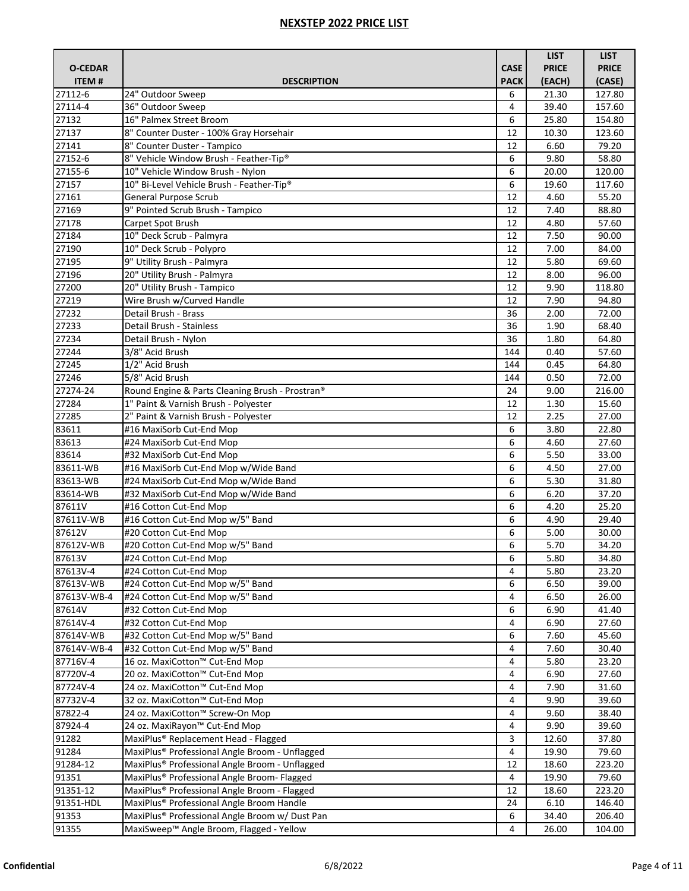|                |                                                            |             | <b>LIST</b>  | <b>LIST</b>  |
|----------------|------------------------------------------------------------|-------------|--------------|--------------|
| <b>O-CEDAR</b> |                                                            | <b>CASE</b> | <b>PRICE</b> | <b>PRICE</b> |
| ITEM#          | <b>DESCRIPTION</b>                                         | <b>PACK</b> | (EACH)       | (CASE)       |
| 27112-6        | 24" Outdoor Sweep                                          | 6           | 21.30        | 127.80       |
| 27114-4        | 36" Outdoor Sweep                                          | 4           | 39.40        | 157.60       |
| 27132          | 16" Palmex Street Broom                                    | 6           | 25.80        | 154.80       |
| 27137          | 8" Counter Duster - 100% Gray Horsehair                    | 12          | 10.30        | 123.60       |
| 27141          | 8" Counter Duster - Tampico                                | 12          | 6.60         | 79.20        |
| 27152-6        | 8" Vehicle Window Brush - Feather-Tip®                     | 6           | 9.80         | 58.80        |
| 27155-6        | 10" Vehicle Window Brush - Nylon                           | 6           | 20.00        | 120.00       |
| 27157          | 10" Bi-Level Vehicle Brush - Feather-Tip®                  | 6           | 19.60        | 117.60       |
| 27161          | <b>General Purpose Scrub</b>                               | 12          | 4.60         | 55.20        |
| 27169          | 9" Pointed Scrub Brush - Tampico                           | 12          | 7.40         | 88.80        |
| 27178          | Carpet Spot Brush                                          | 12          | 4.80         | 57.60        |
| 27184          | 10" Deck Scrub - Palmyra                                   | 12          | 7.50         | 90.00        |
| 27190          | 10" Deck Scrub - Polypro                                   | 12          | 7.00         | 84.00        |
| 27195          | 9" Utility Brush - Palmyra                                 | 12          | 5.80         | 69.60        |
| 27196          | 20" Utility Brush - Palmyra                                | 12          | 8.00         | 96.00        |
| 27200          | 20" Utility Brush - Tampico                                | 12          | 9.90         | 118.80       |
| 27219          | Wire Brush w/Curved Handle                                 | 12          | 7.90         | 94.80        |
| 27232          | Detail Brush - Brass                                       | 36          | 2.00         | 72.00        |
| 27233          | Detail Brush - Stainless                                   | 36          | 1.90         | 68.40        |
| 27234          | Detail Brush - Nylon                                       | 36          | 1.80         | 64.80        |
| 27244          | 3/8" Acid Brush                                            | 144         | 0.40         | 57.60        |
| 27245          | 1/2" Acid Brush                                            | 144         | 0.45         | 64.80        |
| 27246          | 5/8" Acid Brush                                            | 144         | 0.50         | 72.00        |
| 27274-24       | Round Engine & Parts Cleaning Brush - Prostran®            | 24          | 9.00         | 216.00       |
| 27284          | 1" Paint & Varnish Brush - Polyester                       | 12          | 1.30         | 15.60        |
| 27285          | 2" Paint & Varnish Brush - Polyester                       | 12          | 2.25         | 27.00        |
| 83611          | #16 MaxiSorb Cut-End Mop                                   | 6           | 3.80         | 22.80        |
| 83613          | #24 MaxiSorb Cut-End Mop                                   | 6           | 4.60         | 27.60        |
| 83614          | #32 MaxiSorb Cut-End Mop                                   | 6           | 5.50         | 33.00        |
| 83611-WB       | #16 MaxiSorb Cut-End Mop w/Wide Band                       | 6           | 4.50         | 27.00        |
| 83613-WB       | #24 MaxiSorb Cut-End Mop w/Wide Band                       | 6           | 5.30         | 31.80        |
| 83614-WB       | #32 MaxiSorb Cut-End Mop w/Wide Band                       | 6           | 6.20         | 37.20        |
| 87611V         | #16 Cotton Cut-End Mop                                     | 6           | 4.20         | 25.20        |
| 87611V-WB      | #16 Cotton Cut-End Mop w/5" Band                           | 6           | 4.90         | 29.40        |
| 87612V         | #20 Cotton Cut-End Mop                                     | 6           | 5.00         | 30.00        |
| 87612V-WB      | #20 Cotton Cut-End Mop w/5" Band                           | 6           | 5.70         | 34.20        |
| 87613V         | #24 Cotton Cut-End Mop                                     | 6           | 5.80         | 34.80        |
| 87613V-4       | #24 Cotton Cut-End Mop                                     | 4           | 5.80         | 23.20        |
| 87613V-WB      | #24 Cotton Cut-End Mop w/5" Band                           | 6           | 6.50         | 39.00        |
| 87613V-WB-4    | #24 Cotton Cut-End Mop w/5" Band                           | 4           | 6.50         | 26.00        |
| 87614V         | #32 Cotton Cut-End Mop                                     | 6           | 6.90         | 41.40        |
| 87614V-4       | #32 Cotton Cut-End Mop                                     | 4           | 6.90         | 27.60        |
| 87614V-WB      | #32 Cotton Cut-End Mop w/5" Band                           | 6           | 7.60         | 45.60        |
| 87614V-WB-4    | #32 Cotton Cut-End Mop w/5" Band                           | 4           | 7.60         | 30.40        |
| 87716V-4       | 16 oz. MaxiCotton™ Cut-End Mop                             | 4           | 5.80         | 23.20        |
| 87720V-4       | 20 oz. MaxiCotton™ Cut-End Mop                             | 4           | 6.90         | 27.60        |
| 87724V-4       | 24 oz. MaxiCotton™ Cut-End Mop                             | 4           | 7.90         | 31.60        |
| 87732V-4       | 32 oz. MaxiCotton™ Cut-End Mop                             | 4           | 9.90         | 39.60        |
| 87822-4        | 24 oz. MaxiCotton™ Screw-On Mop                            | 4           | 9.60         | 38.40        |
| 87924-4        | 24 oz. MaxiRayon™ Cut-End Mop                              | 4           | 9.90         | 39.60        |
| 91282          | MaxiPlus® Replacement Head - Flagged                       | 3           | 12.60        | 37.80        |
| 91284          | MaxiPlus® Professional Angle Broom - Unflagged             | 4           | 19.90        | 79.60        |
| 91284-12       | MaxiPlus <sup>®</sup> Professional Angle Broom - Unflagged | 12          | 18.60        | 223.20       |
| 91351          | MaxiPlus® Professional Angle Broom- Flagged                | 4           | 19.90        | 79.60        |
| 91351-12       | MaxiPlus® Professional Angle Broom - Flagged               | 12          | 18.60        | 223.20       |
| 91351-HDL      | MaxiPlus® Professional Angle Broom Handle                  | 24          | 6.10         | 146.40       |
| 91353          | MaxiPlus® Professional Angle Broom w/ Dust Pan             | 6           |              | 206.40       |
|                | MaxiSweep™ Angle Broom, Flagged - Yellow                   | 4           | 34.40        |              |
| 91355          |                                                            |             | 26.00        | 104.00       |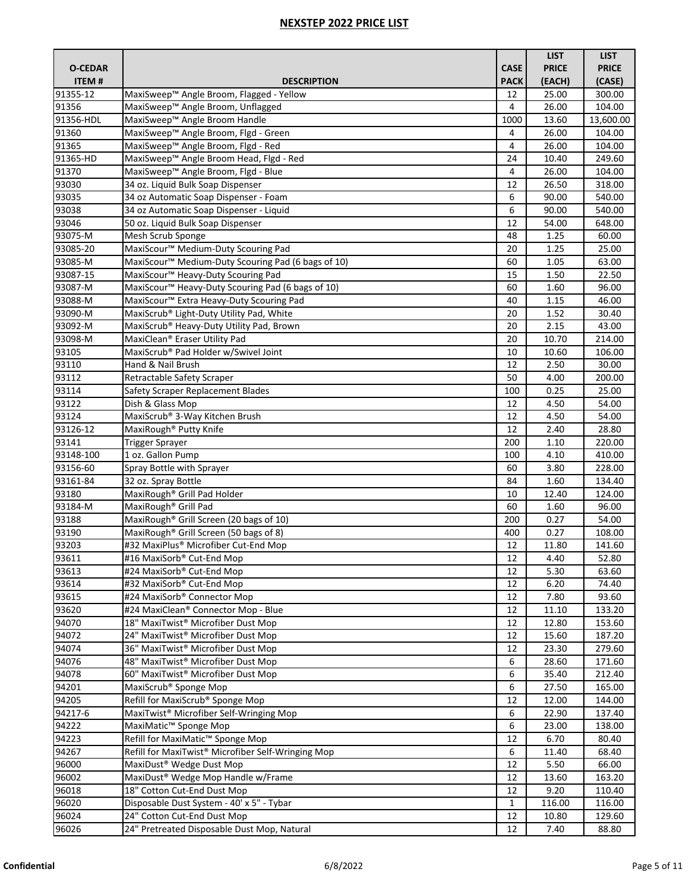|                |                                                               |              | <b>LIST</b>  | <b>LIST</b>  |
|----------------|---------------------------------------------------------------|--------------|--------------|--------------|
| <b>O-CEDAR</b> |                                                               | <b>CASE</b>  | <b>PRICE</b> | <b>PRICE</b> |
| <b>ITEM#</b>   | <b>DESCRIPTION</b>                                            | <b>PACK</b>  | (EACH)       | (CASE)       |
| 91355-12       | MaxiSweep™ Angle Broom, Flagged - Yellow                      | 12           | 25.00        | 300.00       |
| 91356          | MaxiSweep™ Angle Broom, Unflagged                             | 4            | 26.00        | 104.00       |
| 91356-HDL      | MaxiSweep™ Angle Broom Handle                                 | 1000         | 13.60        | 13,600.00    |
| 91360          | MaxiSweep™ Angle Broom, Flgd - Green                          | 4            | 26.00        | 104.00       |
| 91365          | MaxiSweep™ Angle Broom, Flgd - Red                            | 4            | 26.00        | 104.00       |
| 91365-HD       | MaxiSweep™ Angle Broom Head, Flgd - Red                       | 24           | 10.40        | 249.60       |
| 91370          | MaxiSweep™ Angle Broom, Flgd - Blue                           | 4            | 26.00        | 104.00       |
| 93030          | 34 oz. Liquid Bulk Soap Dispenser                             | 12           | 26.50        | 318.00       |
| 93035          | 34 oz Automatic Soap Dispenser - Foam                         | 6            | 90.00        | 540.00       |
| 93038          | 34 oz Automatic Soap Dispenser - Liquid                       | 6            | 90.00        | 540.00       |
| 93046          | 50 oz. Liquid Bulk Soap Dispenser                             | 12           | 54.00        | 648.00       |
| 93075-M        | Mesh Scrub Sponge                                             | 48           | 1.25         | 60.00        |
| 93085-20       | MaxiScour <sup>™</sup> Medium-Duty Scouring Pad               | 20           | 1.25         | 25.00        |
| 93085-M        | MaxiScour™ Medium-Duty Scouring Pad (6 bags of 10)            | 60           | 1.05         | 63.00        |
| 93087-15       | MaxiScour <sup>™</sup> Heavy-Duty Scouring Pad                | 15           | 1.50         | 22.50        |
| 93087-M        | MaxiScour <sup>™</sup> Heavy-Duty Scouring Pad (6 bags of 10) | 60           | 1.60         | 96.00        |
| 93088-M        | MaxiScour <sup>™</sup> Extra Heavy-Duty Scouring Pad          | 40           | 1.15         | 46.00        |
| 93090-M        | MaxiScrub® Light-Duty Utility Pad, White                      | 20           | 1.52         | 30.40        |
| 93092-M        | MaxiScrub® Heavy-Duty Utility Pad, Brown                      | 20           | 2.15         | 43.00        |
| 93098-M        | MaxiClean® Eraser Utility Pad                                 | 20           | 10.70        | 214.00       |
| 93105          | MaxiScrub® Pad Holder w/Swivel Joint                          | 10           | 10.60        | 106.00       |
| 93110          | Hand & Nail Brush                                             | 12           | 2.50         | 30.00        |
| 93112          | Retractable Safety Scraper                                    | 50           | 4.00         | 200.00       |
| 93114          | Safety Scraper Replacement Blades                             | 100          | 0.25         | 25.00        |
| 93122          | Dish & Glass Mop                                              | 12           | 4.50         | 54.00        |
| 93124          | MaxiScrub® 3-Way Kitchen Brush                                | 12           | 4.50         | 54.00        |
| 93126-12       | MaxiRough <sup>®</sup> Putty Knife                            | 12           | 2.40         | 28.80        |
| 93141          | <b>Trigger Sprayer</b>                                        | 200          | 1.10         | 220.00       |
| 93148-100      | 1 oz. Gallon Pump                                             | 100          | 4.10         | 410.00       |
| 93156-60       | Spray Bottle with Sprayer                                     | 60           | 3.80         | 228.00       |
| 93161-84       | 32 oz. Spray Bottle                                           | 84           | 1.60         | 134.40       |
| 93180          | MaxiRough <sup>®</sup> Grill Pad Holder                       | 10           | 12.40        | 124.00       |
| 93184-M        | MaxiRough <sup>®</sup> Grill Pad                              | 60           | 1.60         | 96.00        |
| 93188          | MaxiRough® Grill Screen (20 bags of 10)                       | 200          | 0.27         | 54.00        |
| 93190          | MaxiRough <sup>®</sup> Grill Screen (50 bags of 8)            | 400          | 0.27         | 108.00       |
| 93203          | #32 MaxiPlus® Microfiber Cut-End Mop                          | 12           | 11.80        | 141.60       |
| 93611          | #16 MaxiSorb® Cut-End Mop                                     | 12           | 4.40         | 52.80        |
| 93613          | #24 MaxiSorb® Cut-End Mop                                     | 12           | 5.30         | 63.60        |
| 93614          | #32 MaxiSorb® Cut-End Mop                                     | 12           | 6.20         | 74.40        |
| 93615          | #24 MaxiSorb® Connector Mop                                   | 12           | 7.80         | 93.60        |
| 93620          | #24 MaxiClean® Connector Mop - Blue                           | 12           | 11.10        | 133.20       |
| 94070          | 18" MaxiTwist® Microfiber Dust Mop                            | 12           | 12.80        | 153.60       |
| 94072          | 24" MaxiTwist® Microfiber Dust Mop                            | 12           | 15.60        | 187.20       |
| 94074          | 36" MaxiTwist® Microfiber Dust Mop                            | 12           | 23.30        | 279.60       |
| 94076          | 48" MaxiTwist® Microfiber Dust Mop                            | 6            | 28.60        | 171.60       |
| 94078          | 60" MaxiTwist® Microfiber Dust Mop                            | 6            | 35.40        | 212.40       |
| 94201          | MaxiScrub <sup>®</sup> Sponge Mop                             | 6            | 27.50        | 165.00       |
| 94205          | Refill for MaxiScrub® Sponge Mop                              | 12           | 12.00        | 144.00       |
| 94217-6        | MaxiTwist <sup>®</sup> Microfiber Self-Wringing Mop           | 6            | 22.90        | 137.40       |
| 94222          | MaxiMatic <sup>™</sup> Sponge Mop                             | 6            | 23.00        | 138.00       |
| 94223          | Refill for MaxiMatic™ Sponge Mop                              | 12           | 6.70         | 80.40        |
| 94267          | Refill for MaxiTwist® Microfiber Self-Wringing Mop            | 6            | 11.40        | 68.40        |
| 96000          | MaxiDust <sup>®</sup> Wedge Dust Mop                          | 12           | 5.50         | 66.00        |
| 96002          | MaxiDust® Wedge Mop Handle w/Frame                            | 12           | 13.60        | 163.20       |
| 96018          | 18" Cotton Cut-End Dust Mop                                   | 12           | 9.20         | 110.40       |
| 96020          | Disposable Dust System - 40' x 5" - Tybar                     | $\mathbf{1}$ | 116.00       | 116.00       |
| 96024          | 24" Cotton Cut-End Dust Mop                                   | 12           | 10.80        | 129.60       |
| 96026          | 24" Pretreated Disposable Dust Mop, Natural                   | 12           | 7.40         | 88.80        |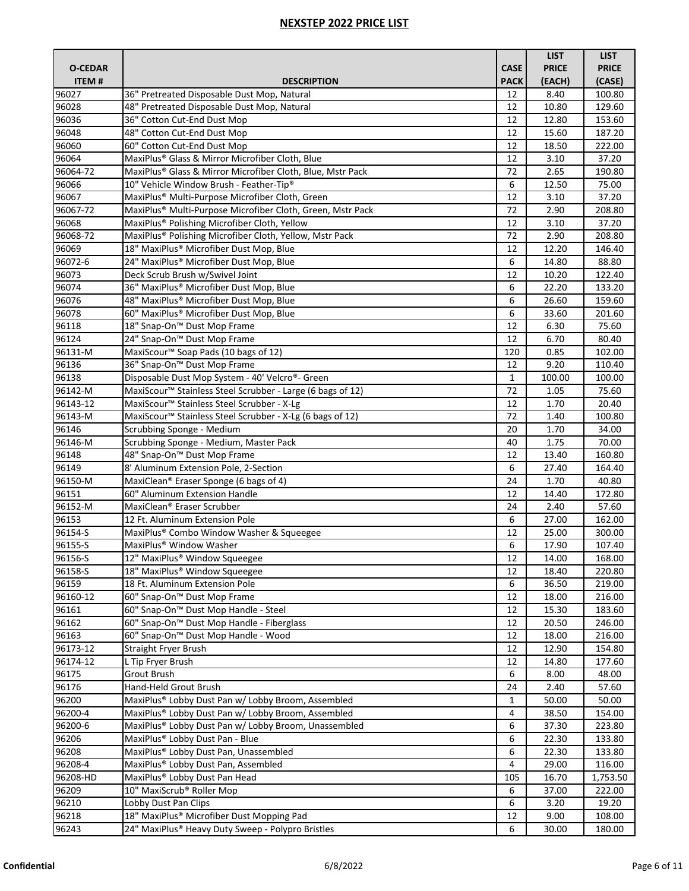|                |                                                                        |              | <b>LIST</b>  | <b>LIST</b>  |
|----------------|------------------------------------------------------------------------|--------------|--------------|--------------|
| <b>O-CEDAR</b> |                                                                        | <b>CASE</b>  | <b>PRICE</b> | <b>PRICE</b> |
| <b>ITEM#</b>   | <b>DESCRIPTION</b>                                                     | <b>PACK</b>  | (EACH)       | (CASE)       |
| 96027          | 36" Pretreated Disposable Dust Mop, Natural                            | 12           | 8.40         | 100.80       |
| 96028          | 48" Pretreated Disposable Dust Mop, Natural                            | 12           | 10.80        | 129.60       |
| 96036          | 36" Cotton Cut-End Dust Mop                                            | 12           | 12.80        | 153.60       |
| 96048          | 48" Cotton Cut-End Dust Mop                                            | 12           | 15.60        | 187.20       |
| 96060          | 60" Cotton Cut-End Dust Mop                                            | 12           | 18.50        | 222.00       |
| 96064          | MaxiPlus® Glass & Mirror Microfiber Cloth, Blue                        | 12           | 3.10         | 37.20        |
| 96064-72       | MaxiPlus® Glass & Mirror Microfiber Cloth, Blue, Mstr Pack             | 72           | 2.65         | 190.80       |
| 96066          | 10" Vehicle Window Brush - Feather-Tip®                                | 6            | 12.50        | 75.00        |
| 96067          | MaxiPlus® Multi-Purpose Microfiber Cloth, Green                        | 12           | 3.10         | 37.20        |
| 96067-72       | MaxiPlus® Multi-Purpose Microfiber Cloth, Green, Mstr Pack             | 72           | 2.90         | 208.80       |
| 96068          | MaxiPlus® Polishing Microfiber Cloth, Yellow                           | 12           | 3.10         | 37.20        |
| 96068-72       | MaxiPlus® Polishing Microfiber Cloth, Yellow, Mstr Pack                | 72           | 2.90         | 208.80       |
| 96069          | 18" MaxiPlus® Microfiber Dust Mop, Blue                                | 12           | 12.20        | 146.40       |
| 96072-6        | 24" MaxiPlus® Microfiber Dust Mop, Blue                                | 6            | 14.80        | 88.80        |
| 96073          | Deck Scrub Brush w/Swivel Joint                                        | 12           | 10.20        | 122.40       |
| 96074          | 36" MaxiPlus® Microfiber Dust Mop, Blue                                | 6            | 22.20        | 133.20       |
| 96076          | 48" MaxiPlus® Microfiber Dust Mop, Blue                                | 6            | 26.60        | 159.60       |
| 96078          | 60" MaxiPlus® Microfiber Dust Mop, Blue                                | 6            | 33.60        | 201.60       |
| 96118          | 18" Snap-On™ Dust Mop Frame                                            | 12           | 6.30         | 75.60        |
| 96124          | 24" Snap-On™ Dust Mop Frame                                            | 12           | 6.70         | 80.40        |
| 96131-M        | MaxiScour <sup>™</sup> Soap Pads (10 bags of 12)                       | 120          | 0.85         | 102.00       |
| 96136          | 36" Snap-On <sup>™</sup> Dust Mop Frame                                | 12           | 9.20         | 110.40       |
| 96138          | Disposable Dust Mop System - 40' Velcro®- Green                        | $\mathbf{1}$ | 100.00       | 100.00       |
| 96142-M        | MaxiScour <sup>™</sup> Stainless Steel Scrubber - Large (6 bags of 12) | 72           | 1.05         | 75.60        |
| 96143-12       | MaxiScour <sup>™</sup> Stainless Steel Scrubber - X-Lg                 | 12           | 1.70         | 20.40        |
| 96143-M        | MaxiScour <sup>™</sup> Stainless Steel Scrubber - X-Lg (6 bags of 12)  | 72           | 1.40         | 100.80       |
| 96146          | Scrubbing Sponge - Medium                                              | 20           | 1.70         | 34.00        |
| 96146-M        | Scrubbing Sponge - Medium, Master Pack                                 | 40           | 1.75         | 70.00        |
| 96148          | 48" Snap-On™ Dust Mop Frame                                            | 12           | 13.40        | 160.80       |
| 96149          | 8' Aluminum Extension Pole, 2-Section                                  | 6            | 27.40        | 164.40       |
| 96150-M        | MaxiClean® Eraser Sponge (6 bags of 4)                                 | 24           | 1.70         | 40.80        |
| 96151          | 60" Aluminum Extension Handle                                          | 12           | 14.40        | 172.80       |
| 96152-M        | MaxiClean® Eraser Scrubber                                             | 24           | 2.40         | 57.60        |
| 96153          | 12 Ft. Aluminum Extension Pole                                         | 6            | 27.00        | 162.00       |
| 96154-S        | MaxiPlus® Combo Window Washer & Squeegee                               | 12           | 25.00        | 300.00       |
| 96155-S        | MaxiPlus <sup>®</sup> Window Washer                                    | 6            | 17.90        | 107.40       |
| 96156-S        | 12" MaxiPlus® Window Squeegee                                          | 12           | 14.00        | 168.00       |
| 96158-S        | 18" MaxiPlus® Window Squeegee                                          | 12           | 18.40        | 220.80       |
| 96159          | 18 Ft. Aluminum Extension Pole                                         | 6            | 36.50        | 219.00       |
| 96160-12       | 60" Snap-On <sup>™</sup> Dust Mop Frame                                | 12           | 18.00        | 216.00       |
| 96161          | 60" Snap-On™ Dust Mop Handle - Steel                                   | 12           | 15.30        | 183.60       |
| 96162          | 60" Snap-On <sup>™</sup> Dust Mop Handle - Fiberglass                  | 12           | 20.50        | 246.00       |
| 96163          | 60" Snap-On™ Dust Mop Handle - Wood                                    | 12           | 18.00        | 216.00       |
| 96173-12       | <b>Straight Fryer Brush</b>                                            | 12           | 12.90        | 154.80       |
| 96174-12       | L Tip Fryer Brush                                                      | 12           | 14.80        | 177.60       |
| 96175          | Grout Brush                                                            | 6            | 8.00         | 48.00        |
| 96176          | Hand-Held Grout Brush                                                  | 24           | 2.40         | 57.60        |
| 96200          | MaxiPlus® Lobby Dust Pan w/ Lobby Broom, Assembled                     | $\mathbf{1}$ | 50.00        | 50.00        |
| 96200-4        | MaxiPlus® Lobby Dust Pan w/ Lobby Broom, Assembled                     | 4            | 38.50        | 154.00       |
| 96200-6        | MaxiPlus® Lobby Dust Pan w/ Lobby Broom, Unassembled                   | 6            | 37.30        | 223.80       |
| 96206          | MaxiPlus® Lobby Dust Pan - Blue                                        | 6            | 22.30        | 133.80       |
| 96208          | MaxiPlus® Lobby Dust Pan, Unassembled                                  | 6            | 22.30        | 133.80       |
| 96208-4        | MaxiPlus® Lobby Dust Pan, Assembled                                    | 4            | 29.00        | 116.00       |
| 96208-HD       | MaxiPlus® Lobby Dust Pan Head                                          | 105          | 16.70        | 1,753.50     |
| 96209          | 10" MaxiScrub® Roller Mop                                              | 6            | 37.00        | 222.00       |
| 96210          | Lobby Dust Pan Clips                                                   | 6            | 3.20         | 19.20        |
| 96218          | 18" MaxiPlus® Microfiber Dust Mopping Pad                              | 12           | 9.00         | 108.00       |
| 96243          | 24" MaxiPlus <sup>®</sup> Heavy Duty Sweep - Polypro Bristles          | 6            | 30.00        | 180.00       |
|                |                                                                        |              |              |              |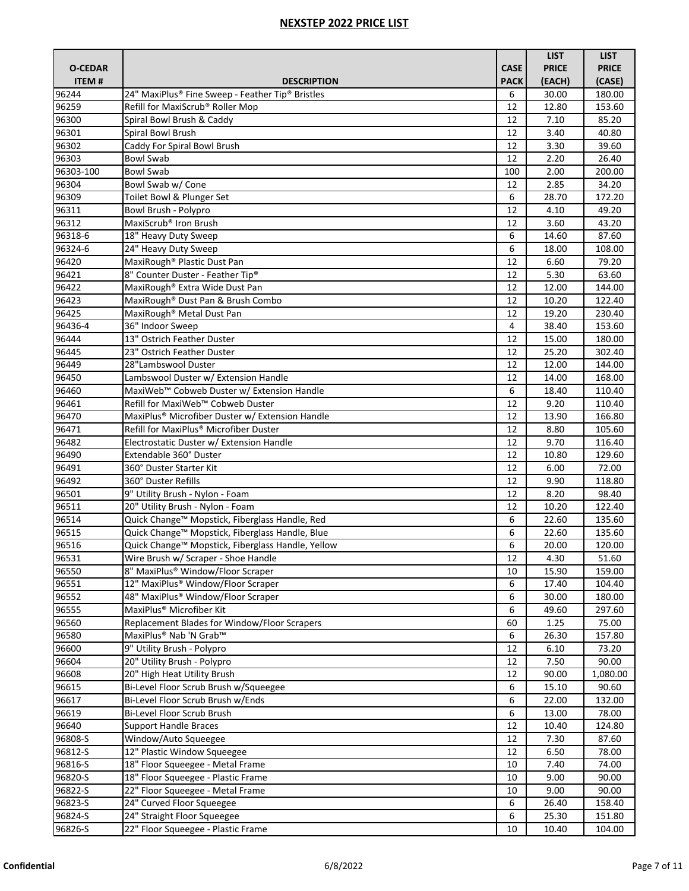|                |                                                                                    |             | <b>LIST</b>   | <b>LIST</b>      |
|----------------|------------------------------------------------------------------------------------|-------------|---------------|------------------|
| <b>O-CEDAR</b> |                                                                                    | <b>CASE</b> | <b>PRICE</b>  | <b>PRICE</b>     |
| <b>ITEM#</b>   | <b>DESCRIPTION</b>                                                                 | <b>PACK</b> | (EACH)        | (CASE)           |
| 96244          | 24" MaxiPlus® Fine Sweep - Feather Tip® Bristles                                   | 6           | 30.00         | 180.00           |
| 96259          | Refill for MaxiScrub® Roller Mop                                                   | 12          | 12.80         | 153.60           |
| 96300          | Spiral Bowl Brush & Caddy                                                          | 12          | 7.10          | 85.20            |
| 96301          | Spiral Bowl Brush                                                                  | 12          | 3.40          | 40.80            |
| 96302          | Caddy For Spiral Bowl Brush                                                        | 12          | 3.30          | 39.60            |
| 96303          | <b>Bowl Swab</b>                                                                   | 12          | 2.20          | 26.40            |
| 96303-100      | <b>Bowl Swab</b>                                                                   | 100         | 2.00          | 200.00           |
| 96304          | Bowl Swab w/ Cone                                                                  | 12          | 2.85          | 34.20            |
| 96309          | Toilet Bowl & Plunger Set                                                          | 6           | 28.70         | 172.20           |
| 96311          | Bowl Brush - Polypro                                                               | 12          | 4.10          | 49.20            |
| 96312          | MaxiScrub <sup>®</sup> Iron Brush                                                  | 12          | 3.60          | 43.20            |
| 96318-6        | 18" Heavy Duty Sweep                                                               | 6           | 14.60         | 87.60            |
| 96324-6        | 24" Heavy Duty Sweep                                                               | 6           | 18.00         | 108.00           |
| 96420          | MaxiRough <sup>®</sup> Plastic Dust Pan                                            | 12          | 6.60          | 79.20            |
| 96421          | 8" Counter Duster - Feather Tip®                                                   | 12          | 5.30          | 63.60            |
| 96422          | MaxiRough® Extra Wide Dust Pan                                                     | 12          | 12.00         | 144.00           |
| 96423          | MaxiRough® Dust Pan & Brush Combo                                                  | 12          | 10.20         | 122.40           |
| 96425          | MaxiRough <sup>®</sup> Metal Dust Pan                                              | 12          | 19.20         | 230.40           |
| 96436-4        | 36" Indoor Sweep                                                                   | 4           | 38.40         | 153.60           |
| 96444          | 13" Ostrich Feather Duster                                                         | 12          | 15.00         | 180.00           |
| 96445          | 23" Ostrich Feather Duster                                                         | 12          | 25.20         | 302.40           |
| 96449          | 28"Lambswool Duster                                                                | 12          | 12.00         | 144.00           |
| 96450          | Lambswool Duster w/ Extension Handle                                               | 12          | 14.00         | 168.00           |
| 96460          | MaxiWeb™ Cobweb Duster w/ Extension Handle                                         | 6           | 18.40         | 110.40           |
| 96461          | Refill for MaxiWeb™ Cobweb Duster                                                  | 12          | 9.20          | 110.40           |
| 96470          | MaxiPlus <sup>®</sup> Microfiber Duster w/ Extension Handle                        | 12          | 13.90         | 166.80           |
| 96471          | Refill for MaxiPlus® Microfiber Duster                                             | 12          | 8.80          | 105.60           |
| 96482          | Electrostatic Duster w/ Extension Handle                                           | 12          | 9.70          | 116.40           |
| 96490          | Extendable 360° Duster                                                             | 12          | 10.80         | 129.60           |
| 96491          | 360° Duster Starter Kit                                                            | 12          | 6.00          | 72.00            |
| 96492          | 360° Duster Refills                                                                | 12          | 9.90          | 118.80           |
| 96501<br>96511 | 9" Utility Brush - Nylon - Foam                                                    | 12<br>12    | 8.20<br>10.20 | 98.40<br>122.40  |
|                | 20" Utility Brush - Nylon - Foam<br>Quick Change™ Mopstick, Fiberglass Handle, Red | 6           | 22.60         |                  |
| 96514<br>96515 | Quick Change™ Mopstick, Fiberglass Handle, Blue                                    | 6           | 22.60         | 135.60<br>135.60 |
| 96516          | Quick Change™ Mopstick, Fiberglass Handle, Yellow                                  | 6           | 20.00         | 120.00           |
| 96531          | Wire Brush w/ Scraper - Shoe Handle                                                | 12          | 4.30          | 51.60            |
| 96550          | 8" MaxiPlus® Window/Floor Scraper                                                  | 10          | 15.90         | 159.00           |
| 96551          | 12" MaxiPlus® Window/Floor Scraper                                                 | 6           | 17.40         | 104.40           |
| 96552          | 48" MaxiPlus® Window/Floor Scraper                                                 | 6           | 30.00         | 180.00           |
| 96555          | MaxiPlus <sup>®</sup> Microfiber Kit                                               | 6           | 49.60         | 297.60           |
| 96560          | Replacement Blades for Window/Floor Scrapers                                       | 60          | 1.25          | 75.00            |
| 96580          | MaxiPlus® Nab 'N Grab™                                                             | 6           | 26.30         | 157.80           |
| 96600          | 9" Utility Brush - Polypro                                                         | 12          | 6.10          | 73.20            |
| 96604          | 20" Utility Brush - Polypro                                                        | 12          | 7.50          | 90.00            |
| 96608          | 20" High Heat Utility Brush                                                        | 12          | 90.00         | 1,080.00         |
| 96615          | Bi-Level Floor Scrub Brush w/Squeegee                                              | 6           | 15.10         | 90.60            |
| 96617          | Bi-Level Floor Scrub Brush w/Ends                                                  | 6           | 22.00         | 132.00           |
| 96619          | Bi-Level Floor Scrub Brush                                                         | 6           | 13.00         | 78.00            |
| 96640          | <b>Support Handle Braces</b>                                                       | 12          | 10.40         | 124.80           |
| 96808-S        | Window/Auto Squeegee                                                               | 12          | 7.30          | 87.60            |
| 96812-S        | 12" Plastic Window Squeegee                                                        | 12          | 6.50          | 78.00            |
| 96816-S        | 18" Floor Squeegee - Metal Frame                                                   | 10          | 7.40          | 74.00            |
| 96820-S        | 18" Floor Squeegee - Plastic Frame                                                 | 10          | 9.00          | 90.00            |
| 96822-S        | 22" Floor Squeegee - Metal Frame                                                   | 10          | 9.00          | 90.00            |
| 96823-S        | 24" Curved Floor Squeegee                                                          | 6           | 26.40         | 158.40           |
| 96824-S        | 24" Straight Floor Squeegee                                                        | 6           | 25.30         | 151.80           |
| 96826-S        | 22" Floor Squeegee - Plastic Frame                                                 | 10          | 10.40         | 104.00           |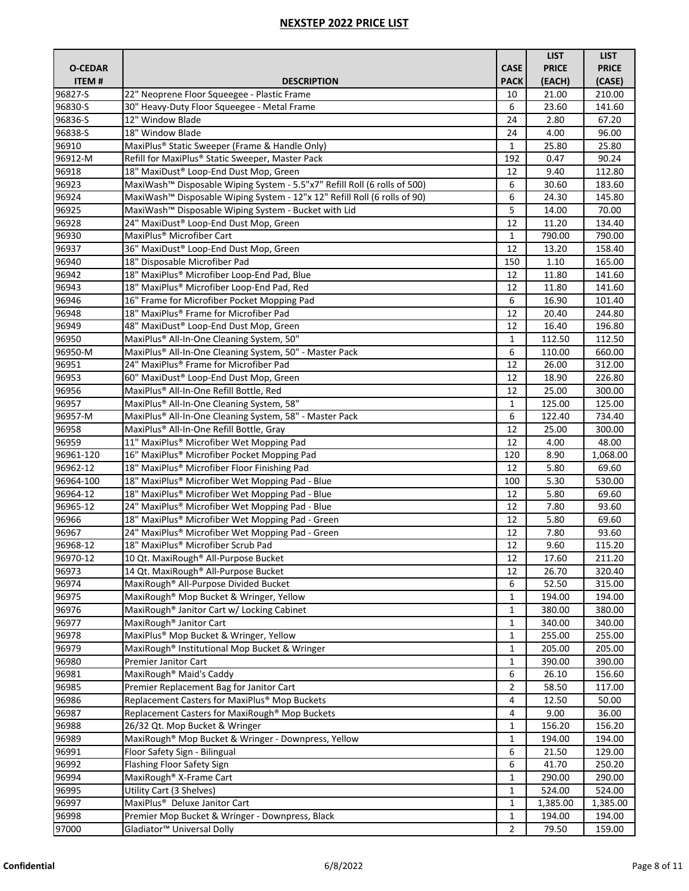|                |                                                                                       |                | <b>LIST</b>      | <b>LIST</b>      |
|----------------|---------------------------------------------------------------------------------------|----------------|------------------|------------------|
| <b>O-CEDAR</b> |                                                                                       | <b>CASE</b>    | <b>PRICE</b>     | <b>PRICE</b>     |
| ITEM#          | <b>DESCRIPTION</b>                                                                    | <b>PACK</b>    | (EACH)           | (CASE)           |
| 96827-S        | 22" Neoprene Floor Squeegee - Plastic Frame                                           | 10             | 21.00            | 210.00           |
| 96830-S        | 30" Heavy-Duty Floor Squeegee - Metal Frame                                           | 6              | 23.60            | 141.60           |
| 96836-S        | 12" Window Blade                                                                      | 24             | 2.80             | 67.20            |
| 96838-S        | 18" Window Blade                                                                      | 24             | 4.00             | 96.00            |
| 96910          | MaxiPlus <sup>®</sup> Static Sweeper (Frame & Handle Only)                            | $\mathbf{1}$   | 25.80            | 25.80            |
| 96912-M        | Refill for MaxiPlus® Static Sweeper, Master Pack                                      | 192            | 0.47             | 90.24            |
| 96918          | 18" MaxiDust® Loop-End Dust Mop, Green                                                | 12             | 9.40             | 112.80           |
| 96923          | MaxiWash™ Disposable Wiping System - 5.5"x7" Refill Roll (6 rolls of 500)             | 6              | 30.60            | 183.60           |
| 96924          | MaxiWash <sup>™</sup> Disposable Wiping System - 12"x 12" Refill Roll (6 rolls of 90) | 6              | 24.30            | 145.80           |
| 96925          | MaxiWash™ Disposable Wiping System - Bucket with Lid                                  | 5              | 14.00            | 70.00            |
| 96928          | 24" MaxiDust® Loop-End Dust Mop, Green                                                | 12             | 11.20            | 134.40           |
| 96930          | MaxiPlus <sup>®</sup> Microfiber Cart                                                 | $\mathbf{1}$   | 790.00           | 790.00           |
| 96937          | 36" MaxiDust® Loop-End Dust Mop, Green                                                | 12             | 13.20            | 158.40           |
| 96940          | 18" Disposable Microfiber Pad                                                         | 150            | 1.10             | 165.00           |
| 96942          | 18" MaxiPlus® Microfiber Loop-End Pad, Blue                                           | 12             | 11.80            | 141.60           |
| 96943          | 18" MaxiPlus® Microfiber Loop-End Pad, Red                                            | 12             | 11.80            | 141.60           |
| 96946          | 16" Frame for Microfiber Pocket Mopping Pad                                           | 6              | 16.90            | 101.40           |
| 96948          | 18" MaxiPlus® Frame for Microfiber Pad                                                | 12             | 20.40            | 244.80           |
| 96949          | 48" MaxiDust® Loop-End Dust Mop, Green                                                | 12             | 16.40            | 196.80           |
| 96950          | MaxiPlus® All-In-One Cleaning System, 50"                                             | $\mathbf{1}$   | 112.50           | 112.50           |
| 96950-M        | MaxiPlus® All-In-One Cleaning System, 50" - Master Pack                               | 6              | 110.00           | 660.00           |
| 96951          | 24" MaxiPlus® Frame for Microfiber Pad                                                | 12             | 26.00            | 312.00           |
| 96953          | 60" MaxiDust® Loop-End Dust Mop, Green                                                | 12             | 18.90            | 226.80           |
| 96956          | MaxiPlus® All-In-One Refill Bottle, Red                                               | 12             | 25.00            | 300.00           |
| 96957          | MaxiPlus® All-In-One Cleaning System, 58"                                             | $\mathbf{1}$   | 125.00           | 125.00           |
| 96957-M        | MaxiPlus® All-In-One Cleaning System, 58" - Master Pack                               | 6              | 122.40           | 734.40           |
| 96958          | MaxiPlus® All-In-One Refill Bottle, Gray                                              | 12             | 25.00            | 300.00           |
| 96959          | 11" MaxiPlus® Microfiber Wet Mopping Pad                                              | 12             | 4.00             | 48.00            |
| 96961-120      | 16" MaxiPlus® Microfiber Pocket Mopping Pad                                           | 120            | 8.90             | 1,068.00         |
| 96962-12       | 18" MaxiPlus® Microfiber Floor Finishing Pad                                          | 12             | 5.80             | 69.60            |
| 96964-100      | 18" MaxiPlus® Microfiber Wet Mopping Pad - Blue                                       | 100            | 5.30             | 530.00           |
| 96964-12       | 18" MaxiPlus® Microfiber Wet Mopping Pad - Blue                                       | 12             | 5.80             | 69.60            |
| 96965-12       | 24" MaxiPlus® Microfiber Wet Mopping Pad - Blue                                       | 12             | 7.80             | 93.60            |
| 96966          | 18" MaxiPlus® Microfiber Wet Mopping Pad - Green                                      | 12             | 5.80             | 69.60            |
| 96967          | 24" MaxiPlus <sup>®</sup> Microfiber Wet Mopping Pad - Green                          | 12             | 7.80             | 93.60            |
| 96968-12       | 18" MaxiPlus <sup>®</sup> Microfiber Scrub Pad                                        | 12             | 9.60             | 115.20           |
| 96970-12       | 10 Qt. MaxiRough® All-Purpose Bucket                                                  | 12             | 17.60            | 211.20           |
| 96973          | 14 Qt. MaxiRough® All-Purpose Bucket                                                  | 12             | 26.70            | 320.40           |
| 96974          | MaxiRough® All-Purpose Divided Bucket                                                 | 6              | 52.50            | 315.00           |
| 96975          | MaxiRough <sup>®</sup> Mop Bucket & Wringer, Yellow                                   | 1              | 194.00           | 194.00           |
| 96976          | MaxiRough <sup>®</sup> Janitor Cart w/ Locking Cabinet                                | 1              | 380.00           | 380.00           |
| 96977          | MaxiRough <sup>®</sup> Janitor Cart                                                   | 1              | 340.00           | 340.00           |
| 96978          | MaxiPlus® Mop Bucket & Wringer, Yellow                                                | 1              | 255.00           | 255.00           |
| 96979          | MaxiRough® Institutional Mop Bucket & Wringer                                         | $\mathbf{1}$   | 205.00           | 205.00           |
| 96980          | Premier Janitor Cart                                                                  | 1              | 390.00           | 390.00           |
| 96981          | MaxiRough <sup>®</sup> Maid's Caddy                                                   | 6              | 26.10            | 156.60           |
| 96985          | Premier Replacement Bag for Janitor Cart                                              | 2              | 58.50            | 117.00           |
| 96986          | Replacement Casters for MaxiPlus® Mop Buckets                                         | 4              | 12.50            | 50.00            |
| 96987          | Replacement Casters for MaxiRough® Mop Buckets                                        | 4              | 9.00             | 36.00            |
| 96988          |                                                                                       |                |                  |                  |
| 96989          | 26/32 Qt. Mop Bucket & Wringer<br>MaxiRough® Mop Bucket & Wringer - Downpress, Yellow | 1<br>1         | 156.20<br>194.00 | 156.20<br>194.00 |
|                | Floor Safety Sign - Bilingual                                                         | 6              |                  |                  |
| 96991          | Flashing Floor Safety Sign                                                            | 6              | 21.50            | 129.00           |
| 96992          |                                                                                       |                | 41.70            | 250.20           |
| 96994<br>96995 | MaxiRough <sup>®</sup> X-Frame Cart                                                   | 1              | 290.00           | 290.00           |
|                | Utility Cart (3 Shelves)                                                              | 1              | 524.00           | 524.00           |
| 96997          | MaxiPlus <sup>®</sup> Deluxe Janitor Cart                                             | 1              | 1,385.00         | 1,385.00         |
| 96998          | Premier Mop Bucket & Wringer - Downpress, Black                                       | $\mathbf{1}$   | 194.00           | 194.00           |
| 97000          | Gladiator <sup>™</sup> Universal Dolly                                                | $\overline{2}$ | 79.50            | 159.00           |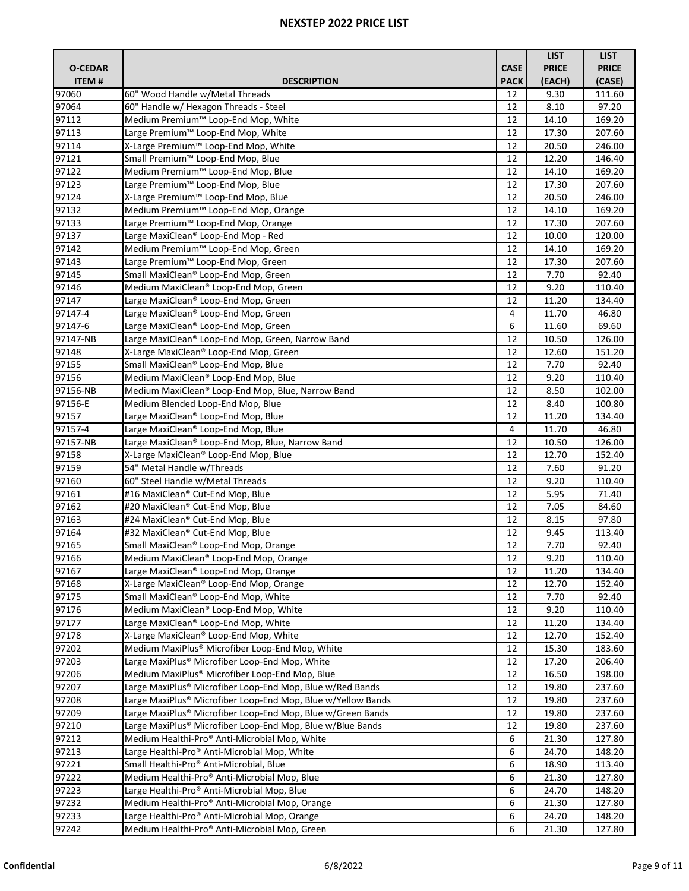|                     |                                                                                         |             | <b>LIST</b>    | <b>LIST</b>      |
|---------------------|-----------------------------------------------------------------------------------------|-------------|----------------|------------------|
| <b>O-CEDAR</b>      |                                                                                         | <b>CASE</b> | <b>PRICE</b>   | <b>PRICE</b>     |
| ITEM#               | <b>DESCRIPTION</b>                                                                      | <b>PACK</b> | (EACH)         | (CASE)           |
| 97060               | 60" Wood Handle w/Metal Threads                                                         | 12          | 9.30           | 111.60           |
| 97064               | 60" Handle w/ Hexagon Threads - Steel                                                   | 12          | 8.10           | 97.20            |
| 97112               | Medium Premium™ Loop-End Mop, White                                                     | 12          | 14.10          | 169.20           |
| 97113               | Large Premium™ Loop-End Mop, White                                                      | 12          | 17.30          | 207.60           |
| 97114               | X-Large Premium™ Loop-End Mop, White                                                    | 12          | 20.50          | 246.00           |
| 97121               | Small Premium™ Loop-End Mop, Blue                                                       | 12          | 12.20          | 146.40           |
| 97122               | Medium Premium™ Loop-End Mop, Blue                                                      | 12          | 14.10          | 169.20           |
| 97123               | Large Premium <sup>™</sup> Loop-End Mop, Blue                                           | 12          | 17.30          | 207.60           |
| 97124               | X-Large Premium™ Loop-End Mop, Blue                                                     | 12          | 20.50          | 246.00           |
| 97132               | Medium Premium™ Loop-End Mop, Orange                                                    | 12          | 14.10          | 169.20           |
| 97133               | Large Premium™ Loop-End Mop, Orange                                                     | 12          | 17.30          | 207.60           |
| 97137               | Large MaxiClean® Loop-End Mop - Red                                                     | 12          | 10.00          | 120.00           |
| 97142               | Medium Premium™ Loop-End Mop, Green                                                     | 12          | 14.10          | 169.20           |
| 97143               | Large Premium™ Loop-End Mop, Green                                                      | 12          | 17.30          | 207.60           |
| 97145               | Small MaxiClean® Loop-End Mop, Green                                                    | 12          | 7.70           | 92.40            |
| 97146               | Medium MaxiClean® Loop-End Mop, Green                                                   | 12          | 9.20           | 110.40           |
| 97147               | Large MaxiClean® Loop-End Mop, Green                                                    | 12          | 11.20          | 134.40           |
| 97147-4             | Large MaxiClean® Loop-End Mop, Green                                                    | 4           | 11.70          | 46.80            |
| 97147-6             | Large MaxiClean® Loop-End Mop, Green                                                    | 6           | 11.60          | 69.60            |
| 97147-NB            | Large MaxiClean® Loop-End Mop, Green, Narrow Band                                       | 12          | 10.50          | 126.00           |
| 97148               | X-Large MaxiClean® Loop-End Mop, Green                                                  | 12          | 12.60          | 151.20           |
| 97155               | Small MaxiClean <sup>®</sup> Loop-End Mop, Blue                                         | 12          | 7.70           | 92.40            |
| 97156               | Medium MaxiClean® Loop-End Mop, Blue                                                    | 12          | 9.20           | 110.40           |
| 97156-NB            | Medium MaxiClean® Loop-End Mop, Blue, Narrow Band                                       | 12          | 8.50           | 102.00           |
| 97156-E             | Medium Blended Loop-End Mop, Blue                                                       | 12          | 8.40           | 100.80           |
| 97157               | Large MaxiClean® Loop-End Mop, Blue                                                     | 12          | 11.20          | 134.40           |
| 97157-4<br>97157-NB | Large MaxiClean® Loop-End Mop, Blue<br>Large MaxiClean® Loop-End Mop, Blue, Narrow Band | 4<br>12     | 11.70<br>10.50 | 46.80<br>126.00  |
| 97158               | X-Large MaxiClean® Loop-End Mop, Blue                                                   | 12          | 12.70          | 152.40           |
| 97159               | 54" Metal Handle w/Threads                                                              | 12          | 7.60           | 91.20            |
| 97160               | 60" Steel Handle w/Metal Threads                                                        | 12          | 9.20           | 110.40           |
| 97161               | #16 MaxiClean® Cut-End Mop, Blue                                                        | 12          | 5.95           | 71.40            |
| 97162               | #20 MaxiClean® Cut-End Mop, Blue                                                        | 12          | 7.05           | 84.60            |
| 97163               | #24 MaxiClean® Cut-End Mop, Blue                                                        | 12          | 8.15           | 97.80            |
| 97164               | #32 MaxiClean® Cut-End Mop, Blue                                                        | 12          | 9.45           | 113.40           |
| 97165               | Small MaxiClean <sup>®</sup> Loop-End Mop, Orange                                       | 12          | 7.70           | 92.40            |
| 97166               | Medium MaxiClean® Loop-End Mop, Orange                                                  | 12          | 9.20           | 110.40           |
| 97167               | Large MaxiClean® Loop-End Mop, Orange                                                   | 12          | 11.20          | 134.40           |
| 97168               | X-Large MaxiClean® Loop-End Mop, Orange                                                 | 12          | 12.70          | 152.40           |
| 97175               | Small MaxiClean® Loop-End Mop, White                                                    | 12          | 7.70           | 92.40            |
| 97176               | Medium MaxiClean® Loop-End Mop, White                                                   | 12          | 9.20           | 110.40           |
| 97177               | Large MaxiClean® Loop-End Mop, White                                                    | 12          | 11.20          | 134.40           |
| 97178               | X-Large MaxiClean® Loop-End Mop, White                                                  | 12          | 12.70          | 152.40           |
| 97202               | Medium MaxiPlus® Microfiber Loop-End Mop, White                                         | 12          | 15.30          | 183.60           |
| 97203               | Large MaxiPlus® Microfiber Loop-End Mop, White                                          | 12          | 17.20          | 206.40           |
| 97206               | Medium MaxiPlus® Microfiber Loop-End Mop, Blue                                          | 12          | 16.50          | 198.00           |
| 97207               | Large MaxiPlus® Microfiber Loop-End Mop, Blue w/Red Bands                               | 12          | 19.80          | 237.60           |
| 97208               | Large MaxiPlus® Microfiber Loop-End Mop, Blue w/Yellow Bands                            | 12          | 19.80          | 237.60           |
| 97209               | Large MaxiPlus® Microfiber Loop-End Mop, Blue w/Green Bands                             | 12          | 19.80          | 237.60           |
| 97210               | Large MaxiPlus® Microfiber Loop-End Mop, Blue w/Blue Bands                              | 12          | 19.80          | 237.60           |
| 97212               | Medium Healthi-Pro® Anti-Microbial Mop, White                                           | 6           | 21.30          | 127.80           |
| 97213               | Large Healthi-Pro® Anti-Microbial Mop, White                                            | 6           | 24.70          | 148.20           |
| 97221<br>97222      | Small Healthi-Pro® Anti-Microbial, Blue<br>Medium Healthi-Pro® Anti-Microbial Mop, Blue | 6<br>6      | 18.90<br>21.30 | 113.40           |
| 97223               | Large Healthi-Pro® Anti-Microbial Mop, Blue                                             | 6           | 24.70          | 127.80<br>148.20 |
| 97232               | Medium Healthi-Pro® Anti-Microbial Mop, Orange                                          | 6           | 21.30          | 127.80           |
| 97233               | Large Healthi-Pro® Anti-Microbial Mop, Orange                                           | 6           | 24.70          | 148.20           |
| 97242               | Medium Healthi-Pro® Anti-Microbial Mop, Green                                           | 6           | 21.30          | 127.80           |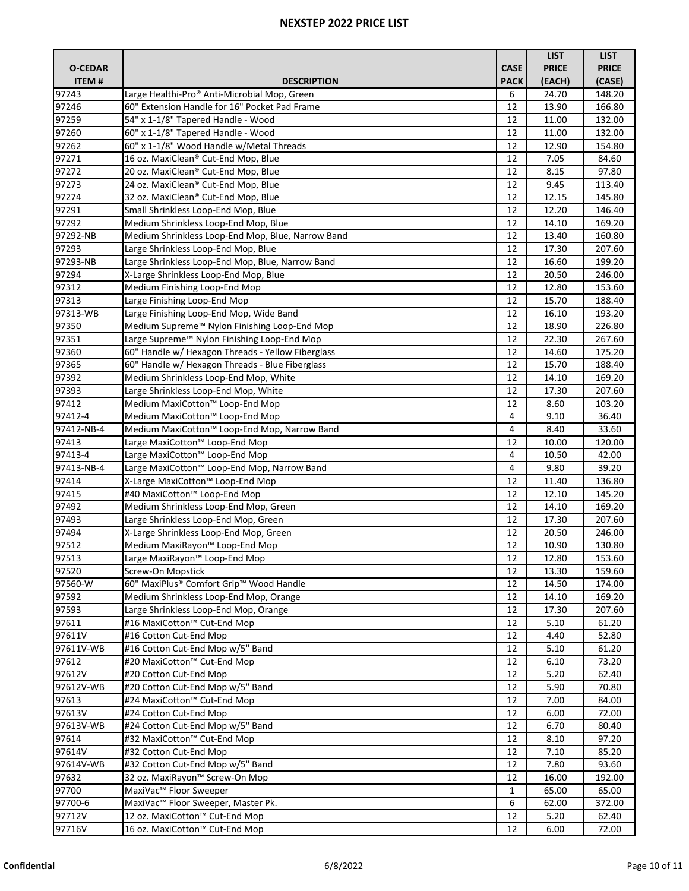|                |                                                         |              | <b>LIST</b>  | <b>LIST</b>  |
|----------------|---------------------------------------------------------|--------------|--------------|--------------|
| <b>O-CEDAR</b> |                                                         | <b>CASE</b>  | <b>PRICE</b> | <b>PRICE</b> |
| <b>ITEM#</b>   | <b>DESCRIPTION</b>                                      | <b>PACK</b>  | (EACH)       | (CASE)       |
| 97243          | Large Healthi-Pro® Anti-Microbial Mop, Green            | 6            | 24.70        | 148.20       |
| 97246          | 60" Extension Handle for 16" Pocket Pad Frame           | 12           | 13.90        | 166.80       |
| 97259          | 54" x 1-1/8" Tapered Handle - Wood                      | 12           | 11.00        | 132.00       |
| 97260          | 60" x 1-1/8" Tapered Handle - Wood                      | 12           | 11.00        | 132.00       |
| 97262          | 60" x 1-1/8" Wood Handle w/Metal Threads                | 12           | 12.90        | 154.80       |
| 97271          | 16 oz. MaxiClean® Cut-End Mop, Blue                     | 12           | 7.05         | 84.60        |
| 97272          | 20 oz. MaxiClean® Cut-End Mop, Blue                     | 12           | 8.15         | 97.80        |
| 97273          | 24 oz. MaxiClean® Cut-End Mop, Blue                     | 12           | 9.45         | 113.40       |
| 97274          | 32 oz. MaxiClean® Cut-End Mop, Blue                     | 12           | 12.15        | 145.80       |
| 97291          | Small Shrinkless Loop-End Mop, Blue                     | 12           | 12.20        | 146.40       |
| 97292          | Medium Shrinkless Loop-End Mop, Blue                    | 12           | 14.10        | 169.20       |
| 97292-NB       | Medium Shrinkless Loop-End Mop, Blue, Narrow Band       | 12           | 13.40        | 160.80       |
| 97293          | Large Shrinkless Loop-End Mop, Blue                     | 12           | 17.30        | 207.60       |
| 97293-NB       | Large Shrinkless Loop-End Mop, Blue, Narrow Band        | 12           | 16.60        | 199.20       |
| 97294          | X-Large Shrinkless Loop-End Mop, Blue                   | 12           | 20.50        | 246.00       |
| 97312          | Medium Finishing Loop-End Mop                           | 12           | 12.80        | 153.60       |
| 97313          | Large Finishing Loop-End Mop                            | 12           | 15.70        | 188.40       |
| 97313-WB       | Large Finishing Loop-End Mop, Wide Band                 | 12           | 16.10        | 193.20       |
| 97350          | Medium Supreme™ Nylon Finishing Loop-End Mop            | 12           | 18.90        | 226.80       |
| 97351          | Large Supreme <sup>™</sup> Nylon Finishing Loop-End Mop | 12           | 22.30        | 267.60       |
| 97360          | 60" Handle w/ Hexagon Threads - Yellow Fiberglass       | 12           | 14.60        | 175.20       |
| 97365          | 60" Handle w/ Hexagon Threads - Blue Fiberglass         | 12           | 15.70        | 188.40       |
| 97392          | Medium Shrinkless Loop-End Mop, White                   | 12           | 14.10        | 169.20       |
| 97393          | Large Shrinkless Loop-End Mop, White                    | 12           | 17.30        | 207.60       |
| 97412          | Medium MaxiCotton™ Loop-End Mop                         | 12           | 8.60         | 103.20       |
| 97412-4        | Medium MaxiCotton™ Loop-End Mop                         | 4            | 9.10         | 36.40        |
| 97412-NB-4     | Medium MaxiCotton™ Loop-End Mop, Narrow Band            | 4            | 8.40         | 33.60        |
| 97413          | Large MaxiCotton™ Loop-End Mop                          | 12           | 10.00        | 120.00       |
| 97413-4        | Large MaxiCotton™ Loop-End Mop                          | 4            | 10.50        | 42.00        |
| 97413-NB-4     | Large MaxiCotton™ Loop-End Mop, Narrow Band             | 4            | 9.80         | 39.20        |
| 97414          | X-Large MaxiCotton™ Loop-End Mop                        | 12           | 11.40        | 136.80       |
| 97415          | #40 MaxiCotton™ Loop-End Mop                            | 12           | 12.10        | 145.20       |
| 97492          | Medium Shrinkless Loop-End Mop, Green                   | 12           | 14.10        | 169.20       |
| 97493          | Large Shrinkless Loop-End Mop, Green                    | 12           | 17.30        | 207.60       |
| 97494          | X-Large Shrinkless Loop-End Mop, Green                  | 12           | 20.50        | 246.00       |
| 97512          | Medium MaxiRayon <sup>™</sup> Loop-End Mop              | 12           | 10.90        | 130.80       |
| 97513          | Large MaxiRayon™ Loop-End Mop                           | 12           | 12.80        | 153.60       |
| 97520          | Screw-On Mopstick                                       | 12           | 13.30        | 159.60       |
| 97560-W        | 60" MaxiPlus® Comfort Grip™ Wood Handle                 | 12           | 14.50        | 174.00       |
| 97592          | Medium Shrinkless Loop-End Mop, Orange                  | 12           | 14.10        | 169.20       |
| 97593          | Large Shrinkless Loop-End Mop, Orange                   | 12           | 17.30        | 207.60       |
| 97611          | #16 MaxiCotton™ Cut-End Mop                             | 12           | 5.10         | 61.20        |
| 97611V         | #16 Cotton Cut-End Mop                                  | 12           | 4.40         | 52.80        |
| 97611V-WB      | #16 Cotton Cut-End Mop w/5" Band                        | 12           | 5.10         | 61.20        |
| 97612          | #20 MaxiCotton™ Cut-End Mop                             | 12           | 6.10         | 73.20        |
| 97612V         | #20 Cotton Cut-End Mop                                  | 12           | 5.20         | 62.40        |
| 97612V-WB      | #20 Cotton Cut-End Mop w/5" Band                        | 12           | 5.90         | 70.80        |
| 97613          | #24 MaxiCotton™ Cut-End Mop                             | 12           | 7.00         | 84.00        |
| 97613V         | #24 Cotton Cut-End Mop                                  | 12           | 6.00         | 72.00        |
| 97613V-WB      | #24 Cotton Cut-End Mop w/5" Band                        | 12           | 6.70         | 80.40        |
| 97614          | #32 MaxiCotton™ Cut-End Mop                             | 12           | 8.10         | 97.20        |
| 97614V         | #32 Cotton Cut-End Mop                                  | 12           | 7.10         | 85.20        |
| 97614V-WB      | #32 Cotton Cut-End Mop w/5" Band                        | 12           | 7.80         | 93.60        |
| 97632          | 32 oz. MaxiRayon™ Screw-On Mop                          | 12           | 16.00        | 192.00       |
| 97700          | MaxiVac™ Floor Sweeper                                  | $\mathbf{1}$ | 65.00        | 65.00        |
| 97700-6        | MaxiVac™ Floor Sweeper, Master Pk.                      | 6            | 62.00        | 372.00       |
| 97712V         | 12 oz. MaxiCotton™ Cut-End Mop                          | 12           | 5.20         | 62.40        |
| 97716V         | 16 oz. MaxiCotton™ Cut-End Mop                          | 12           | 6.00         | 72.00        |